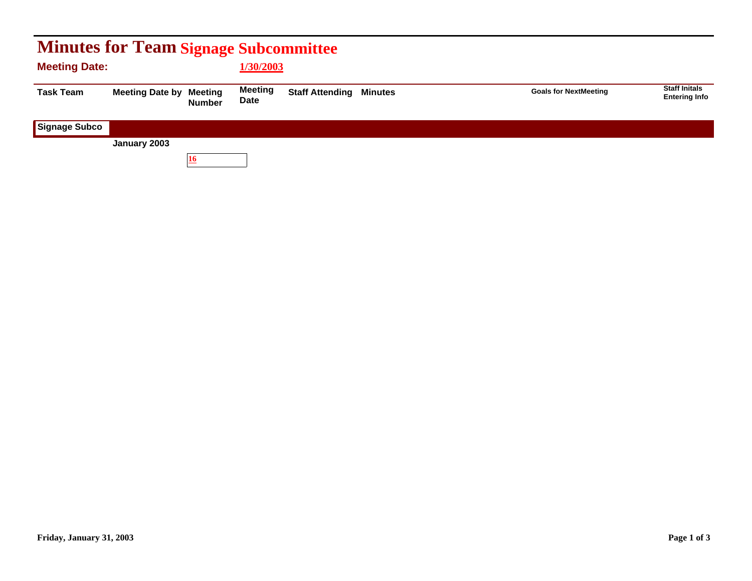| <b>Minutes for Team Signage Subcommittee</b> |                        |                                 |                        |                                |  |                              |                                              |  |  |
|----------------------------------------------|------------------------|---------------------------------|------------------------|--------------------------------|--|------------------------------|----------------------------------------------|--|--|
| <b>Meeting Date:</b>                         |                        |                                 | 1/30/2003              |                                |  |                              |                                              |  |  |
| <b>Task Team</b>                             | <b>Meeting Date by</b> | <b>Meeting</b><br><b>Number</b> | <b>Meeting</b><br>Date | <b>Staff Attending Minutes</b> |  | <b>Goals for NextMeeting</b> | <b>Staff Initals</b><br><b>Entering Info</b> |  |  |
| <b>Signage Subco</b>                         |                        |                                 |                        |                                |  |                              |                                              |  |  |
|                                              | January 2003           |                                 |                        |                                |  |                              |                                              |  |  |
|                                              |                        | 16                              |                        |                                |  |                              |                                              |  |  |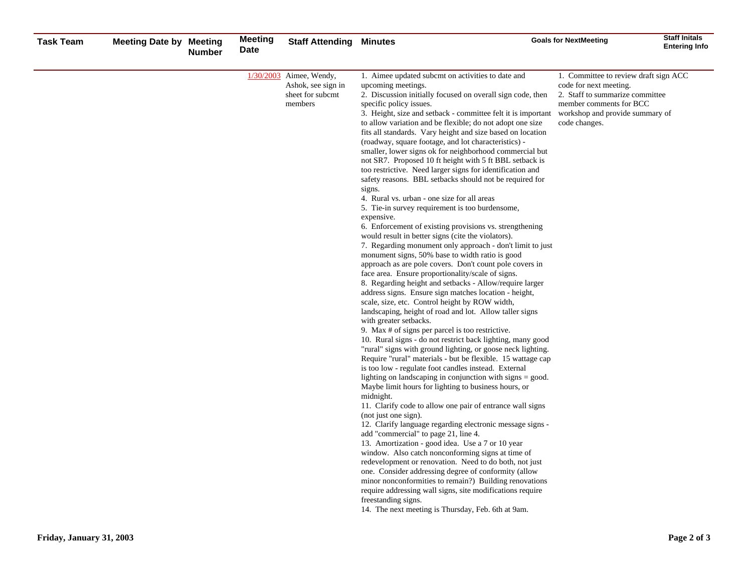| <b>Task Team</b> | <b>Meeting Date by Meeting</b> | <b>Number</b> | Meeting<br>Date | <b>Staff Attending</b>                                                         | Minutes                                                                                                                                                                                                                                                                                                                                                                                                                                                                                                                                                                                                                                                                                                                                                                                                                                                                                                                                                                                                                                                                                                                                                                                                                                                                                                                                                                                                                                                                                                                                                                                                                                                                                                                                                                                                                                                                                                                                                                                                                                                                                                                                                                                                                                                                                                                                                                                                                                                                      | <b>Goals for NextMeeting</b>                                                                                                                                                      | <b>Staff Initals</b><br><b>Entering Info</b> |
|------------------|--------------------------------|---------------|-----------------|--------------------------------------------------------------------------------|------------------------------------------------------------------------------------------------------------------------------------------------------------------------------------------------------------------------------------------------------------------------------------------------------------------------------------------------------------------------------------------------------------------------------------------------------------------------------------------------------------------------------------------------------------------------------------------------------------------------------------------------------------------------------------------------------------------------------------------------------------------------------------------------------------------------------------------------------------------------------------------------------------------------------------------------------------------------------------------------------------------------------------------------------------------------------------------------------------------------------------------------------------------------------------------------------------------------------------------------------------------------------------------------------------------------------------------------------------------------------------------------------------------------------------------------------------------------------------------------------------------------------------------------------------------------------------------------------------------------------------------------------------------------------------------------------------------------------------------------------------------------------------------------------------------------------------------------------------------------------------------------------------------------------------------------------------------------------------------------------------------------------------------------------------------------------------------------------------------------------------------------------------------------------------------------------------------------------------------------------------------------------------------------------------------------------------------------------------------------------------------------------------------------------------------------------------------------------|-----------------------------------------------------------------------------------------------------------------------------------------------------------------------------------|----------------------------------------------|
|                  |                                |               |                 | $1/30/2003$ Aimee, Wendy,<br>Ashok, see sign in<br>sheet for subcmt<br>members | 1. Aimee updated subcmt on activities to date and<br>upcoming meetings.<br>2. Discussion initially focused on overall sign code, then<br>specific policy issues.<br>3. Height, size and setback - committee felt it is important<br>to allow variation and be flexible; do not adopt one size<br>fits all standards. Vary height and size based on location<br>(roadway, square footage, and lot characteristics) -<br>smaller, lower signs ok for neighborhood commercial but<br>not SR7. Proposed 10 ft height with 5 ft BBL setback is<br>too restrictive. Need larger signs for identification and<br>safety reasons. BBL setbacks should not be required for<br>signs.<br>4. Rural vs. urban - one size for all areas<br>5. Tie-in survey requirement is too burdensome,<br>expensive.<br>6. Enforcement of existing provisions vs. strengthening<br>would result in better signs (cite the violators).<br>7. Regarding monument only approach - don't limit to just<br>monument signs, 50% base to width ratio is good<br>approach as are pole covers. Don't count pole covers in<br>face area. Ensure proportionality/scale of signs.<br>8. Regarding height and setbacks - Allow/require larger<br>address signs. Ensure sign matches location - height,<br>scale, size, etc. Control height by ROW width,<br>landscaping, height of road and lot. Allow taller signs<br>with greater setbacks.<br>9. Max # of signs per parcel is too restrictive.<br>10. Rural signs - do not restrict back lighting, many good<br>"rural" signs with ground lighting, or goose neck lighting.<br>Require "rural" materials - but be flexible. 15 wattage cap<br>is too low - regulate foot candles instead. External<br>lighting on landscaping in conjunction with signs $=$ good.<br>Maybe limit hours for lighting to business hours, or<br>midnight.<br>11. Clarify code to allow one pair of entrance wall signs<br>(not just one sign).<br>12. Clarify language regarding electronic message signs -<br>add "commercial" to page 21, line 4.<br>13. Amortization - good idea. Use a 7 or 10 year<br>window. Also catch nonconforming signs at time of<br>redevelopment or renovation. Need to do both, not just<br>one. Consider addressing degree of conformity (allow<br>minor nonconformities to remain?) Building renovations<br>require addressing wall signs, site modifications require<br>freestanding signs.<br>14. The next meeting is Thursday, Feb. 6th at 9am. | 1. Committee to review draft sign ACC<br>code for next meeting.<br>2. Staff to summarize committee<br>member comments for BCC<br>workshop and provide summary of<br>code changes. |                                              |